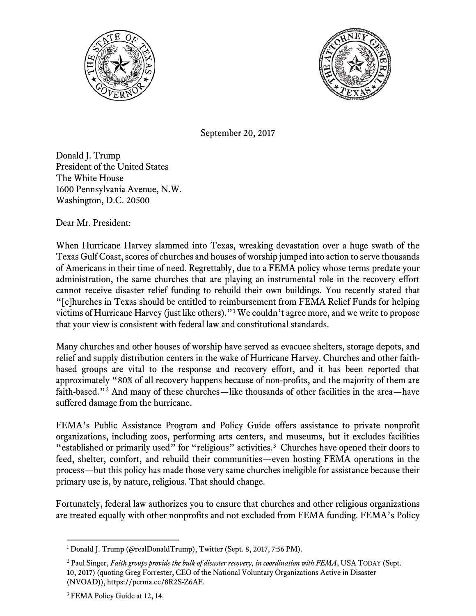



September 20, 2017

Donald J. Trump President of the United States The White House 1600 Pennsylvania Avenue, N.W. Washington, D.C. 20500

Dear Mr. President:

When Hurricane Harvey slammed into Texas, wreaking devastation over a huge swath of the Texas Gulf Coast, scores of churches and houses of worship jumped into action to serve thousands of Americans in their time of need. Regrettably, due to a FEMA policy whose terms predate your administration, the same churches that are playing an instrumental role in the recovery effort cannot receive disaster relief funding to rebuild their own buildings. You recently stated that "[c]hurches in Texas should be entitled to reimbursement from FEMA Relief Funds for helping victims of Hurricane Harvey (just like others)."[1](#page-0-0) We couldn't agree more, and we write to propose that your view is consistent with federal law and constitutional standards.

Many churches and other houses of worship have served as evacuee shelters, storage depots, and relief and supply distribution centers in the wake of Hurricane Harvey. Churches and other faithbased groups are vital to the response and recovery effort, and it has been reported that approximately "80% of all recovery happens because of non-profits, and the majority of them are faith-based."<sup>[2](#page-0-1)</sup> And many of these churches—like thousands of other facilities in the area—have suffered damage from the hurricane.

FEMA's Public Assistance Program and Policy Guide offers assistance to private nonprofit organizations, including zoos, performing arts centers, and museums, but it excludes facilities "established or primarily used" for "religious" activities.<sup>[3](#page-0-2)</sup> Churches have opened their doors to feed, shelter, comfort, and rebuild their communities—even hosting FEMA operations in the process—but this policy has made those very same churches ineligible for assistance because their primary use is, by nature, religious. That should change.

Fortunately, federal law authorizes you to ensure that churches and other religious organizations are treated equally with other nonprofits and not excluded from FEMA funding. FEMA's Policy

 $\overline{a}$ 

<span id="page-0-0"></span><sup>&</sup>lt;sup>1</sup> Donald J. Trump (@realDonaldTrump), Twitter (Sept. 8, 2017, 7:56 PM).

<span id="page-0-1"></span><sup>2</sup> Paul Singer, *Faith groups provide the bulk of disaster recovery, in coordination with FEMA*, USA TODAY (Sept. 10, 2017) (quoting Greg Forrester, CEO of the National Voluntary Organizations Active in Disaster (NVOAD)), https://perma.cc/8R2S-Z6AF.

<span id="page-0-2"></span><sup>&</sup>lt;sup>3</sup> FEMA Policy Guide at 12, 14.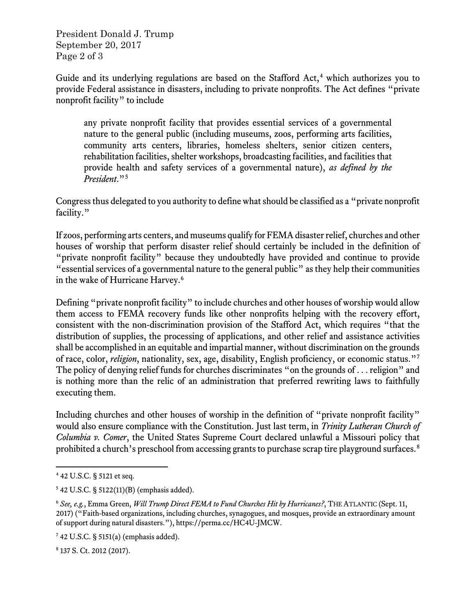President Donald J. Trump September 20, 2017 Page 2 of 3

Guide and its underlying regulations are based on the Stafford Act,<sup>[4](#page-1-0)</sup> which authorizes you to provide Federal assistance in disasters, including to private nonprofits. The Act defines "private nonprofit facility" to include

any private nonprofit facility that provides essential services of a governmental nature to the general public (including museums, zoos, performing arts facilities, community arts centers, libraries, homeless shelters, senior citizen centers, rehabilitation facilities, shelter workshops, broadcasting facilities, and facilities that provide health and safety services of a governmental nature), *as defined by the President*."[5](#page-1-1)

Congress thus delegated to you authority to define what should be classified as a "private nonprofit facility."

If zoos, performing arts centers, and museums qualify for FEMA disaster relief, churches and other houses of worship that perform disaster relief should certainly be included in the definition of "private nonprofit facility" because they undoubtedly have provided and continue to provide "essential services of a governmental nature to the general public" as they help their communities in the wake of Hurricane Harvey.<sup>[6](#page-1-2)</sup>

Defining "private nonprofit facility" to include churches and other houses of worship would allow them access to FEMA recovery funds like other nonprofits helping with the recovery effort, consistent with the non-discrimination provision of the Stafford Act, which requires "that the distribution of supplies, the processing of applications, and other relief and assistance activities shall be accomplished in an equitable and impartial manner, without discrimination on the grounds of race, color, *religion*, nationality, sex, age, disability, English proficiency, or economic status."[7](#page-1-3) The policy of denying relief funds for churches discriminates "on the grounds of . . . religion" and is nothing more than the relic of an administration that preferred rewriting laws to faithfully executing them.

Including churches and other houses of worship in the definition of "private nonprofit facility" would also ensure compliance with the Constitution. Just last term, in *Trinity Lutheran Church of Columbia v. Comer*, the United States Supreme Court declared unlawful a Missouri policy that prohibited a church's preschool from accessing grants to purchase scrap tire playground surfaces.<sup>[8](#page-1-4)</sup>

l

<span id="page-1-4"></span><sup>8</sup> 137 S. Ct. 2012 (2017).

<span id="page-1-0"></span><sup>4</sup> 42 U.S.C. § 5121 et seq.

<span id="page-1-1"></span> $542$  U.S.C. § 5122(11)(B) (emphasis added).

<span id="page-1-2"></span><sup>6</sup> *See, e.g.*, Emma Green, *Will Trump Direct FEMA to Fund Churches Hit by Hurricanes?*, THE ATLANTIC (Sept. 11, 2017) ("Faith-based organizations, including churches, synagogues, and mosques, provide an extraordinary amount of support during natural disasters."), https://perma.cc/HC4U-JMCW.

<span id="page-1-3"></span><sup>7</sup> 42 U.S.C. § 5151(a) (emphasis added).